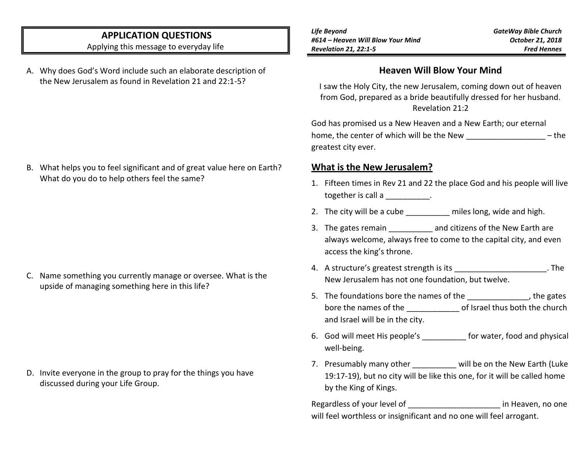## **APPLICATION QUESTIONS**

Applying this message to everyday life

A. Why does God's Word include such an elaborate description of the New Jerusalem as found in Revelation 21 and 22:1-5?

B. What helps you to feel significant and of great value here on Earth? What do you do to help others feel the same?

C. Name something you currently manage or oversee. What is the upside of managing something here in this life?

D. Invite everyone in the group to pray for the things you have discussed during your Life Group.

*Life Beyond #614 – Heaven Will Blow Your Mind Revelation 21, 22:1-5*

*GateWay Bible Church October 21, 2018 Fred Hennes*

#### **Heaven Will Blow Your Mind**

I saw the Holy City, the new Jerusalem, coming down out of heaven from God, prepared as a bride beautifully dressed for her husband. Revelation 21:2

God has promised us a New Heaven and a New Earth; our eternal home, the center of which will be the New The The  $-$  the greatest city ever.

#### **What is the New Jerusalem?**

- 1. Fifteen times in Rev 21 and 22 the place God and his people will live together is call a \_\_\_\_\_\_\_\_\_\_.
- 2. The city will be a cube electron miles long, wide and high.
- 3. The gates remain **and citizens of the New Earth are** always welcome, always free to come to the capital city, and even access the king's throne.
- 4. A structure's greatest strength is its **Example 20** and the structure's greatest strength is its New Jerusalem has not one foundation, but twelve.
- 5. The foundations bore the names of the  $\qquad \qquad$ , the gates bore the names of the definition of Israel thus both the church and Israel will be in the city.
- 6. God will meet His people's for water, food and physical well-being.
- 7. Presumably many other will be on the New Earth (Luke 19:17-19), but no city will be like this one, for it will be called home by the King of Kings.

Regardless of your level of the same of the state of the state of the Regardless of your level of will feel worthless or insignificant and no one will feel arrogant.